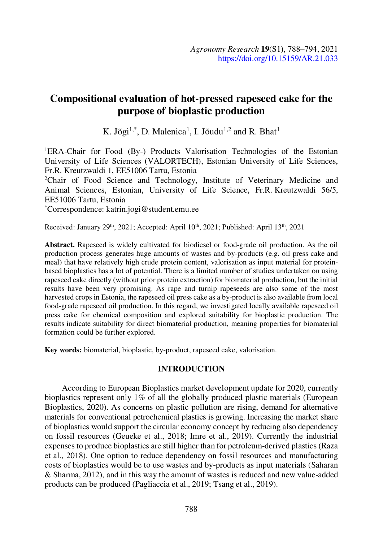# Compositional evaluation of hot-pressed rapeseed cake for the purpose of bioplastic production

K. Jõgi<sup>1,\*</sup>, D. Malenica<sup>1</sup>, I. Jõudu<sup>1,2</sup> and R. Bhat<sup>1</sup>

<sup>1</sup>ERA-Chair for Food (By-) Products Valorisation Technologies of the Estonian University of Life Sciences (VALORTECH), Estonian University of Life Sciences, Fr.R. Kreutzwaldi 1, EE51006 Tartu, Estonia

2Chair of Food Science and Technology, Institute of Veterinary Medicine and Animal Sciences, Estonian, University of Life Science, Fr.R. Kreutzwaldi 56/5, EE51006 Tartu, Estonia \*Correspondence: katrin.jogi@student.emu.ee

Received: January 29<sup>th</sup>, 2021; Accepted: April 10<sup>th</sup>, 2021; Published: April 13<sup>th</sup>, 2021

Abstract. Rapeseed is widely cultivated for biodiesel or food-grade oil production. As the oil production process generates huge amounts of wastes and by-products (e.g. oil press cake and meal) that have relatively high crude protein content, valorisation as input material for proteinbased bioplastics has a lot of potential. There is a limited number of studies undertaken on using rapeseed cake directly (without prior protein extraction) for biomaterial production, but the initial results have been very promising. As rape and turnip rapeseeds are also some of the most harvested crops in Estonia, the rapeseed oil press cake as a by-product is also available from local food-grade rapeseed oil production. In this regard, we investigated locally available rapeseed oil press cake for chemical composition and explored suitability for bioplastic production. The results indicate suitability for direct biomaterial production, meaning properties for biomaterial formation could be further explored.

Key words: biomaterial, bioplastic, by-product, rapeseed cake, valorisation.

## INTRODUCTION

According to European Bioplastics market development update for 2020, currently bioplastics represent only 1% of all the globally produced plastic materials (European Bioplastics, 2020). As concerns on plastic pollution are rising, demand for alternative materials for conventional petrochemical plastics is growing. Increasing the market share of bioplastics would support the circular economy concept by reducing also dependency on fossil resources (Geueke et al., 2018; Imre et al., 2019). Currently the industrial expenses to produce bioplastics are still higher than for petroleum-derived plastics (Raza et al., 2018). One option to reduce dependency on fossil resources and manufacturing costs of bioplastics would be to use wastes and by-products as input materials (Saharan & Sharma, 2012), and in this way the amount of wastes is reduced and new value-added products can be produced (Pagliaccia et al., 2019; Tsang et al., 2019).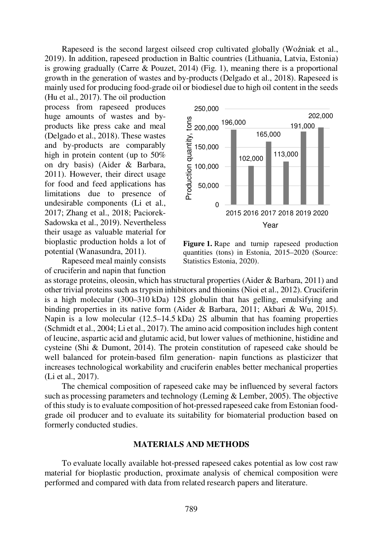Rapeseed is the second largest oilseed crop cultivated globally (Wo zniak et al., 2019). In addition, rapeseed production in Baltic countries (Lithuania, Latvia, Estonia) is growing gradually (Carre & Pouzet, 2014) (Fig. 1), meaning there is a proportional growth in the generation of wastes and by-products (Delgado et al., 2018). Rapeseed is mainly used for producing food-grade oil or biodiesel due to high oil content in the seeds

(Hu et al., 2017). The oil production process from rapeseed produces huge amounts of wastes and byproducts like press cake and meal (Delgado et al., 2018). These wastes<br>and by-products are comparably<br>high in protein content (up to 50%<br>on dry basis) (Aider & Barbara,<br>2011). However, their direct usage<br>for food and feed applications has<br>limitations due and by-products are comparably high in protein content (up to 50% on dry basis) (Aider & Barbara, 2011). However, their direct usage for food and feed applications has limitations due to presence of undesirable components (Li et al., 2017; Zhang et al., 2018; Paciorek-Sadowska et al., 2019). Nevertheless their usage as valuable material for bioplastic production holds a lot of potential (Wanasundra, 2011).

Rapeseed meal mainly consists of cruciferin and napin that function



Figure 1. Rape and turnip rapeseed production quantities (tons) in Estonia, 2015–2020 (Source: Statistics Estonia, 2020).

as storage proteins, oleosin, which has structural properties (Aider & Barbara, 2011) and other trivial proteins such as trypsin inhibitors and thionins (Nioi et al., 2012). Cruciferin is a high molecular (300–310 kDa) 12S globulin that has gelling, emulsifying and binding properties in its native form (Aider & Barbara, 2011; Akbari & Wu, 2015). Napin is a low molecular (12.5–14.5 kDa) 2S albumin that has foaming properties (Schmidt et al., 2004; Li et al., 2017). The amino acid composition includes high content of leucine, aspartic acid and glutamic acid, but lower values of methionine, histidine and cysteine (Shi & Dumont, 2014). The protein constitution of rapeseed cake should be well balanced for protein-based film generation- napin functions as plasticizer that increases technological workability and cruciferin enables better mechanical properties (Li et al., 2017).

The chemical composition of rapeseed cake may be influenced by several factors such as processing parameters and technology (Leming & Lember, 2005). The objective of this study is to evaluate composition of hot-pressed rapeseed cake from Estonian foodgrade oil producer and to evaluate its suitability for biomaterial production based on formerly conducted studies.

#### MATERIALS AND METHODS

To evaluate locally available hot-pressed rapeseed cakes potential as low cost raw material for bioplastic production, proximate analysis of chemical composition were performed and compared with data from related research papers and literature.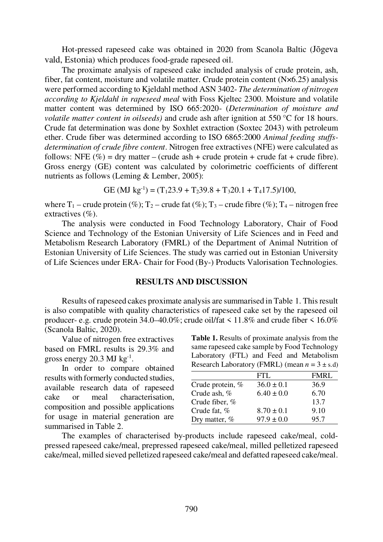Hot-pressed rapeseed cake was obtained in 2020 from Scanola Baltic (Jõgeva vald, Estonia) which produces food-grade rapeseed oil.

The proximate analysis of rapeseed cake included analysis of crude protein, ash, fiber, fat content, moisture and volatile matter. Crude protein content (N×6.25) analysis were performed according to Kjeldahl method ASN 3402- The determination of nitrogen according to Kjeldahl in rapeseed meal with Foss Kjeltec 2300. Moisture and volatile matter content was determined by ISO 665:2020- (Determination of moisture and volatile matter content in oilseeds) and crude ash after ignition at 550  $\degree$ C for 18 hours. Crude fat determination was done by Soxhlet extraction (Soxtec 2043) with petroleum ether. Crude fiber was determined according to ISO 6865:2000 Animal feeding stuffsdetermination of crude fibre content. Nitrogen free extractives (NFE) were calculated as follows: NFE  $(\% )$  = dry matter – (crude ash + crude protein + crude fat + crude fibre). Gross energy (GE) content was calculated by colorimetric coefficients of different nutrients as follows (Leming & Lember, 2005):

GE (MJ kg<sup>-1</sup>) = (T<sub>1</sub>23.9 + T<sub>2</sub>39.8 + T<sub>3</sub>20.1 + T<sub>4</sub>17.5)/100,

where  $T_1$  – crude protein (%);  $T_2$  – crude fat (%);  $T_3$  – crude fibre (%);  $T_4$  – nitrogen free extractives  $(\%).$ 

The analysis were conducted in Food Technology Laboratory, Chair of Food Science and Technology of the Estonian University of Life Sciences and in Feed and Metabolism Research Laboratory (FMRL) of the Department of Animal Nutrition of Estonian University of Life Sciences. The study was carried out in Estonian University of Life Sciences under ERA- Chair for Food (By-) Products Valorisation Technologies.

#### RESULTS AND DISCUSSION

Results of rapeseed cakes proximate analysis are summarised in Table 1. This result is also compatible with quality characteristics of rapeseed cake set by the rapeseed oil producer- e.g. crude protein  $34.0-40.0\%$ ; crude oil/fat <  $11.8\%$  and crude fiber <  $16.0\%$ (Scanola Baltic, 2020).

Value of nitrogen free extractives based on FMRL results is 29.3% and gross energy  $20.3$  MJ kg<sup>-1</sup>.

. In order to compare obtained results with formerly conducted studies, available research data of rapeseed cake or meal characterisation, composition and possible applications for usage in material generation are summarised in Table 2.

Table 1. Results of proximate analysis from the same rapeseed cake sample by Food Technology Laboratory (FTL) and Feed and Metabolism Research Laboratory (FMRL) (mean  $n = 3 \pm s$ .d)

|                    | FTL.           | <b>FMRL</b> |
|--------------------|----------------|-------------|
| Crude protein, $%$ | $36.0 \pm 0.1$ | 36.9        |
| Crude ash, %       | $6.40 \pm 0.0$ | 6.70        |
| Crude fiber, %     |                | 13.7        |
| Crude fat, %       | $8.70 \pm 0.1$ | 9.10        |
| Dry matter, $%$    | $97.9 \pm 0.0$ | 95.7        |

The examples of characterised by-products include rapeseed cake/meal, coldpressed rapeseed cake/meal, prepressed rapeseed cake/meal, milled pelletized rapeseed cake/meal, milled sieved pelletized rapeseed cake/meal and defatted rapeseed cake/meal.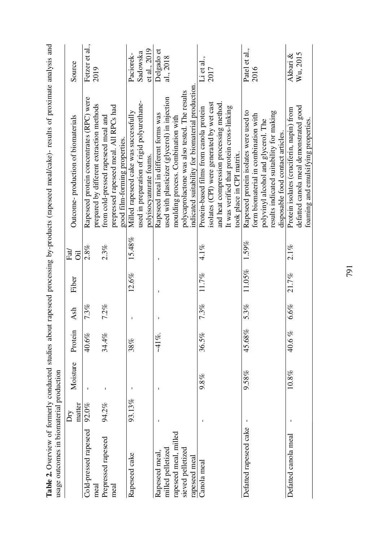| usage outcomes in biomaterial production |               |          |            |         |        |            | Table 2. Overview of formerly conducted studies about rapeseed processing by-products (rapeseed meal/cake)- results of proximate analysis and |                |
|------------------------------------------|---------------|----------|------------|---------|--------|------------|-----------------------------------------------------------------------------------------------------------------------------------------------|----------------|
|                                          | matter<br>Δrγ | Moisture | Protein    | Ash     | Fiber  | Fat<br>öil | Outcome-production of biomaterials                                                                                                            | Source         |
| Cold-pressed rapeseed                    | 92.0%         |          | 40.6%      | 7.3%    |        | 2.8%       | Rapeseed protein concentrates (RPC) were                                                                                                      | Fetzer et al., |
| meal                                     |               |          |            |         |        |            | prepared by different extraction methods                                                                                                      | 2019           |
| Prepressed rapeseed                      | 94.2%         | I.       | 34.4%      | $7.2\%$ |        | 2.3%       | from cold-pressed rapeseed meal and                                                                                                           |                |
| meal                                     |               |          |            |         |        |            | prepressed rapeseed meal. All RPCs had                                                                                                        |                |
|                                          |               |          |            |         |        |            | good film-forming properties.                                                                                                                 |                |
| Rapeseed cake                            | 93.13%        |          | 38%        |         | 12.6%  | 15.48%     | Milled rapeseed cake was successfully                                                                                                         | Paciorek-      |
|                                          |               |          |            |         |        |            | used in preparation of rigid polyurethane-                                                                                                    | Sadowska       |
|                                          |               |          |            |         |        |            | polyisocyanurate foams.                                                                                                                       | et al., 2019   |
| Rapeseed meal                            |               |          | $-41\%$ .  |         |        |            | Rapeseed meal in different forms was                                                                                                          | Delgado et     |
| milled pelletized                        |               |          |            |         |        |            | used with plasticizer (glycerol) in injection                                                                                                 | al., 2018      |
| rapeseed meal, milled                    |               |          |            |         |        |            | moulding process. Combination with                                                                                                            |                |
| sieved pelletized                        |               |          |            |         |        |            | polycaprolactone was also tested. The results                                                                                                 |                |
| rapeseed meal                            |               |          |            |         |        |            | indicated suitability for biomaterial production.                                                                                             |                |
| Canola meal                              |               | 9.8%     | 36.5%      | 7.3%    | 11.7%  | $4.1\%$    | Protein-based films from canola protein                                                                                                       | Li et al.,     |
|                                          |               |          |            |         |        |            | isolates (CPI) were generated by wet cast                                                                                                     | 2017           |
|                                          |               |          |            |         |        |            | and heat compression processing method                                                                                                        |                |
|                                          |               |          |            |         |        |            | It was verified that protein cross-linking                                                                                                    |                |
|                                          |               |          |            |         |        |            | took place in CPI matrix.                                                                                                                     |                |
| Defatted rapeseed cake                   |               | 9.58%    | 45.68%     | 5.3%    | 11.05% | 1.59%      | Rapeseed protein isolates were used to                                                                                                        | Patel et al.,  |
|                                          |               |          |            |         |        |            | form biomaterial in combination with                                                                                                          | 2016           |
|                                          |               |          |            |         |        |            | polyvinyl alcohol and glycerol. The                                                                                                           |                |
|                                          |               |          |            |         |        |            | results indicated suitability for making                                                                                                      |                |
|                                          |               |          |            |         |        |            | disposable food contact articles.                                                                                                             |                |
| Defatted canola meal                     |               | $10.8\%$ | $40.6\,\%$ | $6.6\%$ | 21.7%  | $2.1\%$    | Protein isolates (cruciferin, napin) from                                                                                                     | Akbari $\&$    |
|                                          |               |          |            |         |        |            | defatted canola meal demonstrated good                                                                                                        | Wu, 2015       |
|                                          |               |          |            |         |        |            | foaming and emulsifying properties.                                                                                                           |                |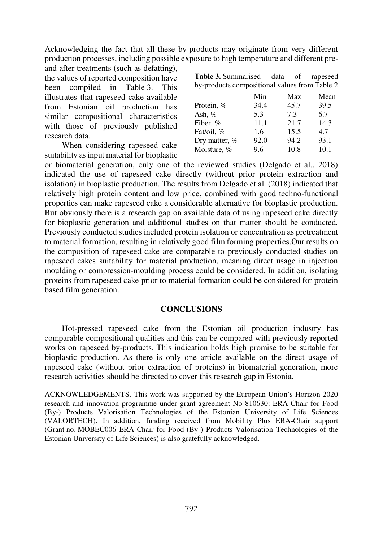Acknowledging the fact that all these by-products may originate from very different production processes, including possible exposure to high temperature and different pre-

and after-treatments (such as defatting), the values of reported composition have been compiled in Table 3. This illustrates that rapeseed cake available from Estonian oil production has similar compositional characteristics with those of previously published research data.

When considering rapeseed cake suitability as input material for bioplastic

| <b>Table 3.</b> Summarised data of rapeseed   |  |  |
|-----------------------------------------------|--|--|
| by-products compositional values from Table 2 |  |  |

|               | Min  | Max  | Mean |
|---------------|------|------|------|
| Protein, %    | 34.4 | 45.7 | 39.5 |
| Ash, $%$      | 5.3  | 7.3  | 6.7  |
| Fiber, %      | 11.1 | 21.7 | 14.3 |
| Fat/oil, %    | 1.6  | 15.5 | 4.7  |
| Dry matter, % | 92.0 | 94.2 | 93.1 |
| Moisture, %   | 9.6  | 10.8 | 10.1 |

or biomaterial generation, only one of the reviewed studies (Delgado et al., 2018) indicated the use of rapeseed cake directly (without prior protein extraction and isolation) in bioplastic production. The results from Delgado et al. (2018) indicated that relatively high protein content and low price, combined with good techno-functional properties can make rapeseed cake a considerable alternative for bioplastic production. But obviously there is a research gap on available data of using rapeseed cake directly for bioplastic generation and additional studies on that matter should be conducted. Previously conducted studies included protein isolation or concentration as pretreatment to material formation, resulting in relatively good film forming properties.Our results on the composition of rapeseed cake are comparable to previously conducted studies on rapeseed cakes suitability for material production, meaning direct usage in injection moulding or compression-moulding process could be considered. In addition, isolating proteins from rapeseed cake prior to material formation could be considered for protein based film generation.

## **CONCLUSIONS**

Hot-pressed rapeseed cake from the Estonian oil production industry has comparable compositional qualities and this can be compared with previously reported works on rapeseed by-products. This indication holds high promise to be suitable for bioplastic production. As there is only one article available on the direct usage of rapeseed cake (without prior extraction of proteins) in biomaterial generation, more research activities should be directed to cover this research gap in Estonia.

ACKNOWLEDGEMENTS. This work was supported by the European Union's Horizon 2020 research and innovation programme under grant agreement No 810630: ERA Chair for Food (By-) Products Valorisation Technologies of the Estonian University of Life Sciences (VALORTECH). In addition, funding received from Mobility Plus ERA-Chair support (Grant no. MOBEC006 ERA Chair for Food (By-) Products Valorisation Technologies of the Estonian University of Life Sciences) is also gratefully acknowledged.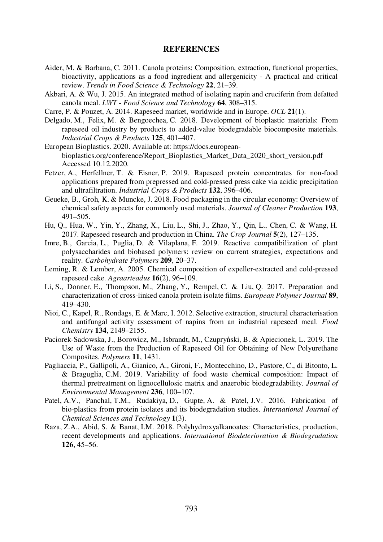#### REFERENCES

- Aider, M. & Barbana, C. 2011. Canola proteins: Composition, extraction, functional properties, bioactivity, applications as a food ingredient and allergenicity - A practical and critical review. Trends in Food Science & Technology 22, 21–39.
- Akbari, A. & Wu, J. 2015. An integrated method of isolating napin and cruciferin from defatted canola meal. LWT - Food Science and Technology 64, 308–315.
- Carre, P. & Pouzet, A. 2014. Rapeseed market, worldwide and in Europe. OCL 21(1).
- Delgado, M., Felix, M. & Bengoechea, C. 2018. Development of bioplastic materials: From rapeseed oil industry by products to added-value biodegradable biocomposite materials. Industrial Crops & Products 125, 401–407.
- European Bioplastics. 2020. Available at: https://docs.europeanbioplastics.org/conference/Report\_Bioplastics\_Market\_Data\_2020\_short\_version.pdf Accessed 10.12.2020.
- Fetzer, A., Herfellner, T. & Eisner, P. 2019. Rapeseed protein concentrates for non-food applications prepared from prepressed and cold-pressed press cake via acidic precipitation and ultrafiltration. Industrial Crops & Products 132, 396–406.
- Geueke, B., Groh, K. & Muncke, J. 2018. Food packaging in the circular economy: Overview of chemical safety aspects for commonly used materials. Journal of Cleaner Production 193, 491–505.
- Hu, Q., Hua, W., Yin, Y., Zhang, X., Liu, L., Shi, J., Zhao, Y., Qin, L., Chen, C. & Wang, H. 2017. Rapeseed research and production in China. The Crop Journal 5(2), 127–135.
- Imre, B., Garcia, L., Puglia, D. & Vilaplana, F. 2019. Reactive compatibilization of plant polysaccharides and biobased polymers: review on current strategies, expectations and reality. Carbohydrate Polymers 209, 20–37.
- Leming, R. & Lember, A. 2005. Chemical composition of expeller-extracted and cold-pressed rapeseed cake. Agraarteadus 16(2), 96−109.
- Li, S., Donner, E., Thompson, M., Zhang, Y., Rempel, C. & Liu, Q. 2017. Preparation and characterization of cross-linked canola protein isolate films. European Polymer Journal <sup>89</sup>, 419–430.
- Nioi, C., Kapel, R., Rondags, E. & Marc, I. 2012. Selective extraction, structural characterisation and antifungal activity assessment of napins from an industrial rapeseed meal. Food Chemistry 134, 2149–2155.
- Paciorek-Sadowska, J., Borowicz, M., Isbrandt, M., Czupryński, B. & Apiecionek, L. 2019. The Use of Waste from the Production of Rapeseed Oil for Obtaining of New Polyurethane Composites. Polymers 11, 1431.
- Pagliaccia, P., Gallipoli, A., Gianico, A., Gironi, F., Montecchino, D., Pastore, C., di Bitonto, L. & Braguglia, C.M. 2019. Variability of food waste chemical composition: Impact of thermal pretreatment on lignocellulosic matrix and anaerobic biodegradability. Journal of Environmental Management 236, 100–107.
- Patel, A.V., Panchal, T.M., Rudakiya, D., Gupte, A. & Patel, J.V. 2016. Fabrication of bio-plastics from protein isolates and its biodegradation studies. International Journal of Chemical Sciences and Technology 1(3).
- Raza, Z.A., Abid, S. & Banat, I.M. 2018. Polyhydroxyalkanoates: Characteristics, production, recent developments and applications. International Biodeterioration & Biodegradation 126, 45–56.